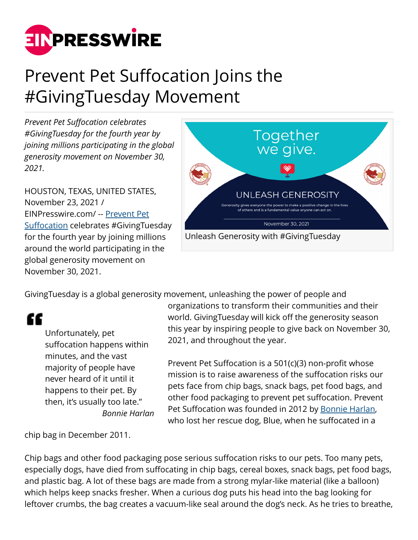

## Prevent Pet Suffocation Joins the #GivingTuesday Movement

*Prevent Pet Suffocation celebrates #GivingTuesday for the fourth year by joining millions participating in the global generosity movement on November 30, 2021.*

HOUSTON, TEXAS, UNITED STATES, November 23, 2021 / [EINPresswire.com](http://www.einpresswire.com)/ -- [Prevent Pet](https://preventpetsuffocation.com/) [Suffocation](https://preventpetsuffocation.com/) celebrates #GivingTuesday for the fourth year by joining millions around the world participating in the global generosity movement on November 30, 2021.



GivingTuesday is a global generosity movement, unleashing the power of people and

££

Unfortunately, pet suffocation happens within minutes, and the vast majority of people have never heard of it until it happens to their pet. By then, it's usually too late." *Bonnie Harlan*

organizations to transform their communities and their world. GivingTuesday will kick off the generosity season this year by inspiring people to give back on November 30, 2021, and throughout the year.

Prevent Pet Suffocation is a 501(c)(3) non-profit whose mission is to raise awareness of the suffocation risks our pets face from chip bags, snack bags, pet food bags, and other food packaging to prevent pet suffocation. Prevent Pet Suffocation was founded in 2012 by [Bonnie Harlan,](https://preventpetsuffocation.com/bonnie-harlan/) who lost her rescue dog, Blue, when he suffocated in a

chip bag in December 2011.

Chip bags and other food packaging pose serious suffocation risks to our pets. Too many pets, especially dogs, have died from suffocating in chip bags, cereal boxes, snack bags, pet food bags, and plastic bag. A lot of these bags are made from a strong mylar-like material (like a balloon) which helps keep snacks fresher. When a curious dog puts his head into the bag looking for leftover crumbs, the bag creates a vacuum-like seal around the dog's neck. As he tries to breathe,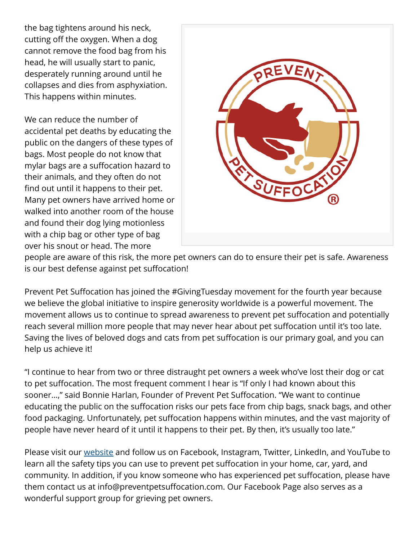the bag tightens around his neck, cutting off the oxygen. When a dog cannot remove the food bag from his head, he will usually start to panic, desperately running around until he collapses and dies from asphyxiation. This happens within minutes.

We can reduce the number of accidental pet deaths by educating the public on the dangers of these types of bags. Most people do not know that mylar bags are a suffocation hazard to their animals, and they often do not find out until it happens to their pet. Many pet owners have arrived home or walked into another room of the house and found their dog lying motionless with a chip bag or other type of bag over his snout or head. The more



people are aware of this risk, the more pet owners can do to ensure their pet is safe. Awareness is our best defense against pet suffocation!

Prevent Pet Suffocation has joined the #GivingTuesday movement for the fourth year because we believe the global initiative to inspire generosity worldwide is a powerful movement. The movement allows us to continue to spread awareness to prevent pet suffocation and potentially reach several million more people that may never hear about pet suffocation until it's too late. Saving the lives of beloved dogs and cats from pet suffocation is our primary goal, and you can help us achieve it!

"I continue to hear from two or three distraught pet owners a week who've lost their dog or cat to pet suffocation. The most frequent comment I hear is "If only I had known about this sooner…," said Bonnie Harlan, Founder of Prevent Pet Suffocation. "We want to continue educating the public on the suffocation risks our pets face from chip bags, snack bags, and other food packaging. Unfortunately, pet suffocation happens within minutes, and the vast majority of people have never heard of it until it happens to their pet. By then, it's usually too late."

Please visit our [website](https://preventpetsuffocation.com/) and follow us on Facebook, Instagram, Twitter, LinkedIn, and YouTube to learn all the safety tips you can use to prevent pet suffocation in your home, car, yard, and community. In addition, if you know someone who has experienced pet suffocation, please have them contact us at info@preventpetsuffocation.com. Our Facebook Page also serves as a wonderful support group for grieving pet owners.